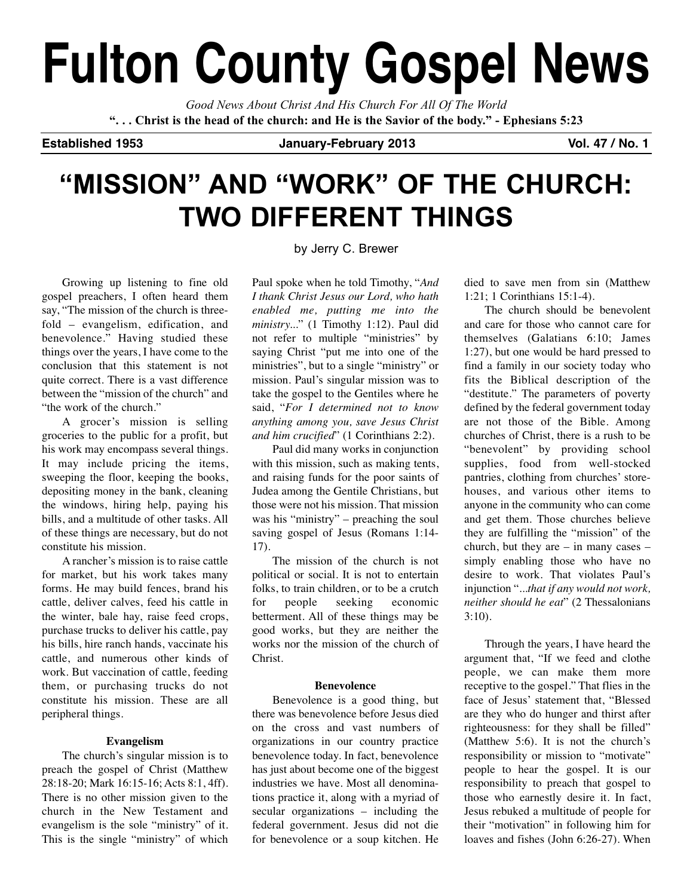# **Fulton County Gospel News**

*Good News About Christ And His Church For All Of The World* "... Christ is the head of the church: and He is the Savior of the body." - Ephesians 5:23

**Established 1953 January-February 2013 Vol. 47 / No. 1**

## **"MISSION" AND "WORK" OF THE CHURCH: TWO DIFFERENT THINGS**

Growing up listening to fine old gospel preachers, I often heard them

say, "The mission of the church is threefold – evangelism, edification, and benevolence." Having studied these things over the years, I have come to the conclusion that this statement is not quite correct. There is a vast difference between the "mission of the church" and "the work of the church."

A grocer's mission is selling groceries to the public for a profit, but his work may encompass several things. It may include pricing the items, sweeping the floor, keeping the books, depositing money in the bank, cleaning the windows, hiring help, paying his bills, and a multitude of other tasks. All of these things are necessary, but do not constitute his mission.

A rancher's mission is to raise cattle for market, but his work takes many forms. He may build fences, brand his cattle, deliver calves, feed his cattle in the winter, bale hay, raise feed crops, purchase trucks to deliver his cattle, pay his bills, hire ranch hands, vaccinate his cattle, and numerous other kinds of work. But vaccination of cattle, feeding them, or purchasing trucks do not constitute his mission. These are all peripheral things.

## **Evangelism**

The church's singular mission is to preach the gospel of Christ (Matthew 28:18-20; Mark 16:15-16; Acts 8:1, 4ff). There is no other mission given to the church in the New Testament and evangelism is the sole "ministry" of it. This is the single "ministry" of which by Jerry C. Brewer

Paul spoke when he told Timothy, "*And I thank Christ Jesus our Lord, who hath enabled me, putting me into the ministry...*" (1 Timothy 1:12). Paul did not refer to multiple "ministries" by saying Christ "put me into one of the ministries", but to a single "ministry" or mission. Paul's singular mission was to take the gospel to the Gentiles where he said, "*For I determined not to know anything among you, save Jesus Christ and him crucified*" (1 Corinthians 2:2).

Paul did many works in conjunction with this mission, such as making tents, and raising funds for the poor saints of Judea among the Gentile Christians, but those were not his mission. That mission was his "ministry" – preaching the soul saving gospel of Jesus (Romans 1:14- 17).

The mission of the church is not political or social. It is not to entertain folks, to train children, or to be a crutch for people seeking economic betterment. All of these things may be good works, but they are neither the works nor the mission of the church of Christ.

## **Benevolence**

Benevolence is a good thing, but there was benevolence before Jesus died on the cross and vast numbers of organizations in our country practice benevolence today. In fact, benevolence has just about become one of the biggest industries we have. Most all denominations practice it, along with a myriad of secular organizations – including the federal government. Jesus did not die for benevolence or a soup kitchen. He

died to save men from sin (Matthew 1:21; 1 Corinthians 15:1-4).

The church should be benevolent and care for those who cannot care for themselves (Galatians 6:10; James 1:27), but one would be hard pressed to find a family in our society today who fits the Biblical description of the "destitute." The parameters of poverty defined by the federal government today are not those of the Bible. Among churches of Christ, there is a rush to be "benevolent" by providing school supplies, food from well-stocked pantries, clothing from churches' storehouses, and various other items to anyone in the community who can come and get them. Those churches believe they are fulfilling the "mission" of the church, but they are  $-$  in many cases  $$ simply enabling those who have no desire to work. That violates Paul's injunction "*...that if any would not work, neither should he eat*" (2 Thessalonians  $3:10$ ).

Through the years, I have heard the argument that, "If we feed and clothe people, we can make them more receptive to the gospel." That flies in the face of Jesus' statement that, "Blessed are they who do hunger and thirst after righteousness: for they shall be filled" (Matthew 5:6). It is not the church's responsibility or mission to "motivate" people to hear the gospel. It is our responsibility to preach that gospel to those who earnestly desire it. In fact, Jesus rebuked a multitude of people for their "motivation" in following him for loaves and fishes (John 6:26-27). When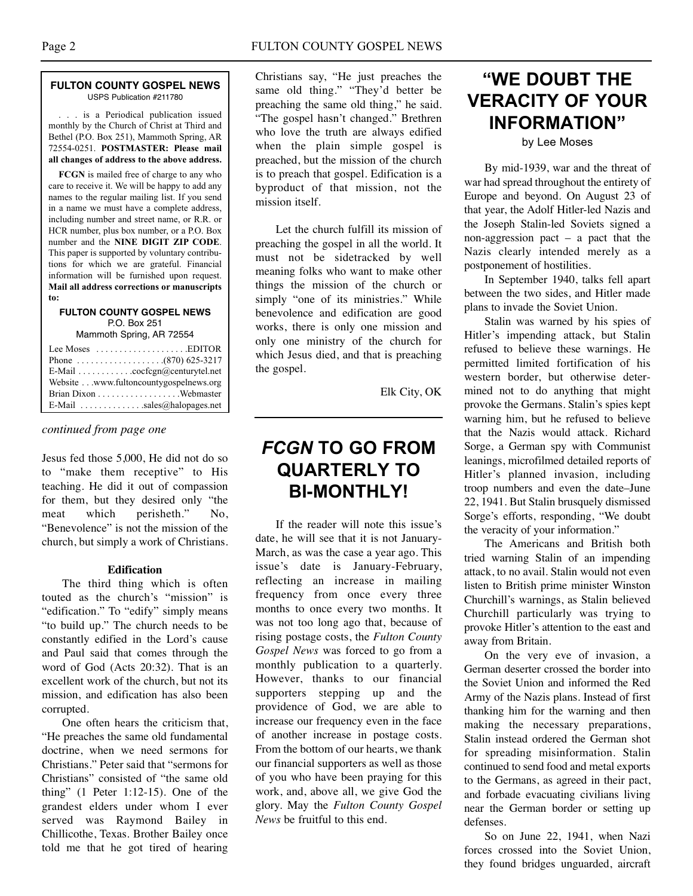#### **FULTON COUNTY GOSPEL NEWS** USPS Publication #211780

. . . is a Periodical publication issued monthly by the Church of Christ at Third and Bethel (P.O. Box 251), Mammoth Spring, AR 72554-0251. **POSTMASTER: Please mail all changes of address to the above address.**

**FCGN** is mailed free of charge to any who care to receive it. We will be happy to add any names to the regular mailing list. If you send in a name we must have a complete address, including number and street name, or R.R. or HCR number, plus box number, or a P.O. Box number and the **NINE DIGIT ZIP CODE**. This paper is supported by voluntary contributions for which we are grateful. Financial information will be furnished upon request. **Mail all address corrections or manuscripts to:**

## **FULTON COUNTY GOSPEL NEWS** P.O. Box 251

Mammoth Spring, AR 72554

| Lee Moses $\dots\dots\dots\dots\dots\dots$ . EDITOR         |
|-------------------------------------------------------------|
|                                                             |
| E-Mail $\ldots \ldots \ldots \ldots$ cocfcgn@centurytel.net |
| Website www.fultoncountygospelnews.org                      |
|                                                             |
| E-Mail $\ldots$ sales@halopages.net                         |

*continued from page one*

Jesus fed those 5,000, He did not do so to "make them receptive" to His teaching. He did it out of compassion for them, but they desired only "the meat which perisheth." No, "Benevolence" is not the mission of the church, but simply a work of Christians.

## **Edification**

The third thing which is often touted as the church's "mission" is "edification." To "edify" simply means "to build up." The church needs to be constantly edified in the Lord's cause and Paul said that comes through the word of God (Acts 20:32). That is an excellent work of the church, but not its mission, and edification has also been corrupted.

One often hears the criticism that, "He preaches the same old fundamental doctrine, when we need sermons for Christians." Peter said that "sermons for Christians" consisted of "the same old thing" (1 Peter 1:12-15). One of the grandest elders under whom I ever served was Raymond Bailey in Chillicothe, Texas. Brother Bailey once told me that he got tired of hearing Christians say, "He just preaches the same old thing." "They'd better be preaching the same old thing," he said. "The gospel hasn't changed." Brethren who love the truth are always edified when the plain simple gospel is preached, but the mission of the church is to preach that gospel. Edification is a byproduct of that mission, not the mission itself.

Let the church fulfill its mission of preaching the gospel in all the world. It must not be sidetracked by well meaning folks who want to make other things the mission of the church or simply "one of its ministries." While benevolence and edification are good works, there is only one mission and only one ministry of the church for which Jesus died, and that is preaching the gospel.

Elk City, OK

## *FCGN* **TO GO FROM QUARTERLY TO BI-MONTHLY!**

If the reader will note this issue's date, he will see that it is not January-March, as was the case a year ago. This issue's date is January-February, reflecting an increase in mailing frequency from once every three months to once every two months. It was not too long ago that, because of rising postage costs, the *Fulton County Gospel News* was forced to go from a monthly publication to a quarterly. However, thanks to our financial supporters stepping up and the providence of God, we are able to increase our frequency even in the face of another increase in postage costs. From the bottom of our hearts, we thank our financial supporters as well as those of you who have been praying for this work, and, above all, we give God the glory. May the *Fulton County Gospel News* be fruitful to this end.

## **"WE DOUBT THE VERACITY OF YOUR INFORMATION"**

by Lee Moses

By mid-1939, war and the threat of war had spread throughout the entirety of Europe and beyond. On August 23 of that year, the Adolf Hitler-led Nazis and the Joseph Stalin-led Soviets signed a non-aggression pact – a pact that the Nazis clearly intended merely as a postponement of hostilities.

In September 1940, talks fell apart between the two sides, and Hitler made plans to invade the Soviet Union.

Stalin was warned by his spies of Hitler's impending attack, but Stalin refused to believe these warnings. He permitted limited fortification of his western border, but otherwise determined not to do anything that might provoke the Germans. Stalin's spies kept warning him, but he refused to believe that the Nazis would attack. Richard Sorge, a German spy with Communist leanings, microfilmed detailed reports of Hitler's planned invasion, including troop numbers and even the date–June 22, 1941. But Stalin brusquely dismissed Sorge's efforts, responding, "We doubt the veracity of your information."

The Americans and British both tried warning Stalin of an impending attack, to no avail. Stalin would not even listen to British prime minister Winston Churchill's warnings, as Stalin believed Churchill particularly was trying to provoke Hitler's attention to the east and away from Britain.

On the very eve of invasion, a German deserter crossed the border into the Soviet Union and informed the Red Army of the Nazis plans. Instead of first thanking him for the warning and then making the necessary preparations, Stalin instead ordered the German shot for spreading misinformation. Stalin continued to send food and metal exports to the Germans, as agreed in their pact, and forbade evacuating civilians living near the German border or setting up defenses.

So on June 22, 1941, when Nazi forces crossed into the Soviet Union, they found bridges unguarded, aircraft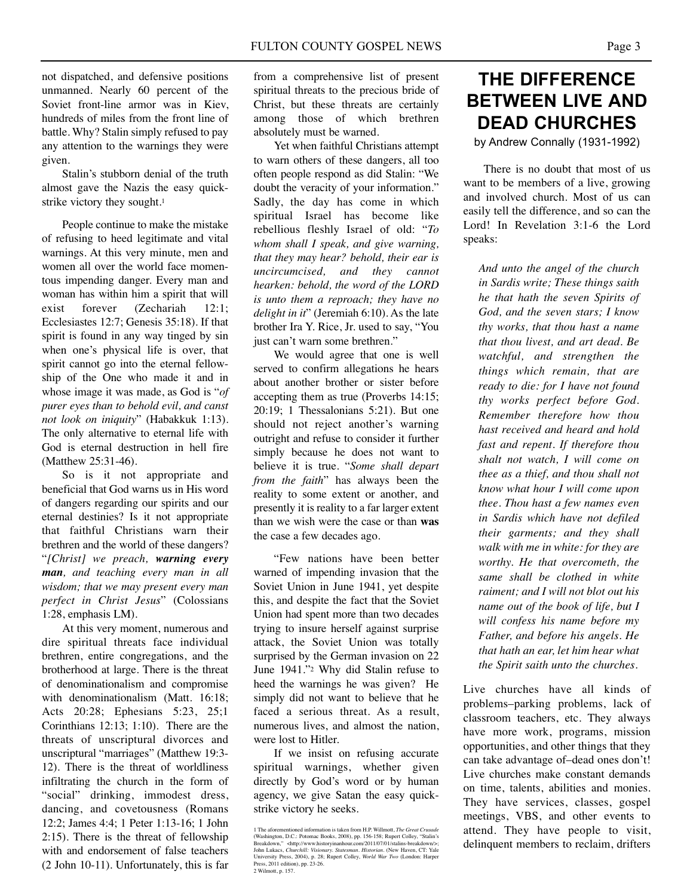not dispatched, and defensive positions unmanned. Nearly 60 percent of the Soviet front-line armor was in Kiev, hundreds of miles from the front line of battle. Why? Stalin simply refused to pay any attention to the warnings they were given.

Stalin's stubborn denial of the truth almost gave the Nazis the easy quickstrike victory they sought.1

People continue to make the mistake of refusing to heed legitimate and vital warnings. At this very minute, men and women all over the world face momentous impending danger. Every man and woman has within him a spirit that will exist forever (Zechariah 12:1; Ecclesiastes 12:7; Genesis 35:18). If that spirit is found in any way tinged by sin when one's physical life is over, that spirit cannot go into the eternal fellowship of the One who made it and in whose image it was made, as God is "*of purer eyes than to behold evil, and canst not look on iniquity*" (Habakkuk 1:13). The only alternative to eternal life with God is eternal destruction in hell fire (Matthew 25:31-46).

So is it not appropriate and beneficial that God warns us in His word of dangers regarding our spirits and our eternal destinies? Is it not appropriate that faithful Christians warn their brethren and the world of these dangers? "*[Christ] we preach, warning every man, and teaching every man in all wisdom; that we may present every man perfect in Christ Jesus*" (Colossians 1:28, emphasis LM).

At this very moment, numerous and dire spiritual threats face individual brethren, entire congregations, and the brotherhood at large. There is the threat of denominationalism and compromise with denominationalism (Matt. 16:18; Acts 20:28; Ephesians 5:23, 25;1 Corinthians 12:13; 1:10). There are the threats of unscriptural divorces and unscriptural "marriages" (Matthew 19:3- 12). There is the threat of worldliness infiltrating the church in the form of "social" drinking, immodest dress, dancing, and covetousness (Romans 12:2; James 4:4; 1 Peter 1:13-16; 1 John 2:15). There is the threat of fellowship with and endorsement of false teachers (2 John 10-11). Unfortunately, this is far

from a comprehensive list of present spiritual threats to the precious bride of Christ, but these threats are certainly among those of which brethren absolutely must be warned.

Yet when faithful Christians attempt to warn others of these dangers, all too often people respond as did Stalin: "We doubt the veracity of your information." Sadly, the day has come in which spiritual Israel has become like rebellious fleshly Israel of old: "*To whom shall I speak, and give warning, that they may hear? behold, their ear is uncircumcised, and they cannot hearken: behold, the word of the LORD is unto them a reproach; they have no delight in it*" (Jeremiah 6:10). As the late brother Ira Y. Rice, Jr. used to say, "You just can't warn some brethren."

We would agree that one is well served to confirm allegations he hears about another brother or sister before accepting them as true (Proverbs 14:15; 20:19; 1 Thessalonians 5:21). But one should not reject another's warning outright and refuse to consider it further simply because he does not want to believe it is true. "*Some shall depart from the faith*" has always been the reality to some extent or another, and presently it is reality to a far larger extent than we wish were the case or than **was** the case a few decades ago.

"Few nations have been better warned of impending invasion that the Soviet Union in June 1941, yet despite this, and despite the fact that the Soviet Union had spent more than two decades trying to insure herself against surprise attack, the Soviet Union was totally surprised by the German invasion on 22 June 1941."2 Why did Stalin refuse to heed the warnings he was given? He simply did not want to believe that he faced a serious threat. As a result, numerous lives, and almost the nation, were lost to Hitler.

If we insist on refusing accurate spiritual warnings, whether given directly by God's word or by human agency, we give Satan the easy quickstrike victory he seeks.

## **THE DIFFERENCE BETWEEN LIVE AND DEAD CHURCHES**

by Andrew Connally (1931-1992)

There is no doubt that most of us want to be members of a live, growing and involved church. Most of us can easily tell the difference, and so can the Lord! In Revelation 3:1-6 the Lord speaks:

*And unto the angel of the church in Sardis write; These things saith he that hath the seven Spirits of God, and the seven stars; I know thy works, that thou hast a name that thou livest, and art dead. Be watchful, and strengthen the things which remain, that are ready to die: for I have not found thy works perfect before God. Remember therefore how thou hast received and heard and hold fast and repent. If therefore thou shalt not watch, I will come on thee as a thief, and thou shall not know what hour I will come upon thee. Thou hast a few names even in Sardis which have not defiled their garments; and they shall walk with me in white: for they are worthy. He that overcometh, the same shall be clothed in white raiment; and I will not blot out his name out of the book of life, but I will confess his name before my Father, and before his angels. He that hath an ear, let him hear what the Spirit saith unto the churches.*

Live churches have all kinds of problems–parking problems, lack of classroom teachers, etc. They always have more work, programs, mission opportunities, and other things that they can take advantage of–dead ones don't! Live churches make constant demands on time, talents, abilities and monies. They have services, classes, gospel meetings, VBS, and other events to attend. They have people to visit, delinquent members to reclaim, drifters

<sup>1</sup> The aforementioned information is taken from H.P. Willmott, *The Great Crusade* (Washington, D.C.: Potomac Books, 2008), pp. 156-158; Rupert Colley, "Stalin's Breakdown," chttp://www.historyinanbour.com/201107/01/stalins 2 Wilmott, p. 157.